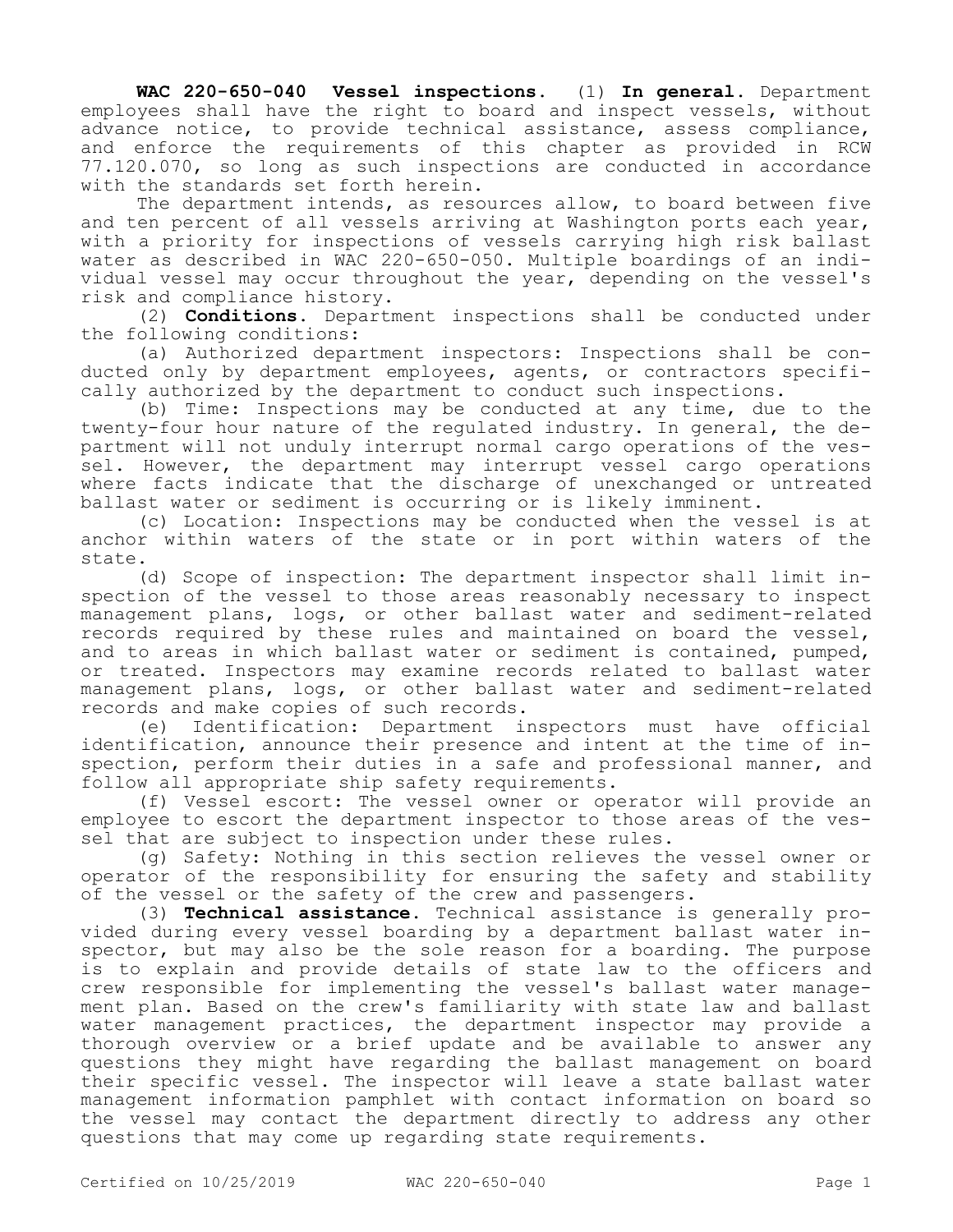**WAC 220-650-040 Vessel inspections.** (1) **In general.** Department employees shall have the right to board and inspect vessels, without advance notice, to provide technical assistance, assess compliance, and enforce the requirements of this chapter as provided in RCW 77.120.070, so long as such inspections are conducted in accordance with the standards set forth herein.

The department intends, as resources allow, to board between five and ten percent of all vessels arriving at Washington ports each year, with a priority for inspections of vessels carrying high risk ballast water as described in WAC 220-650-050. Multiple boardings of an individual vessel may occur throughout the year, depending on the vessel's risk and compliance history.

(2) **Conditions.** Department inspections shall be conducted under the following conditions:

(a) Authorized department inspectors: Inspections shall be conducted only by department employees, agents, or contractors specifically authorized by the department to conduct such inspections.

(b) Time: Inspections may be conducted at any time, due to the twenty-four hour nature of the regulated industry. In general, the department will not unduly interrupt normal cargo operations of the vessel. However, the department may interrupt vessel cargo operations where facts indicate that the discharge of unexchanged or untreated ballast water or sediment is occurring or is likely imminent.

(c) Location: Inspections may be conducted when the vessel is at anchor within waters of the state or in port within waters of the state.

(d) Scope of inspection: The department inspector shall limit inspection of the vessel to those areas reasonably necessary to inspect management plans, logs, or other ballast water and sediment-related records required by these rules and maintained on board the vessel, and to areas in which ballast water or sediment is contained, pumped, or treated. Inspectors may examine records related to ballast water management plans, logs, or other ballast water and sediment-related records and make copies of such records.

(e) Identification: Department inspectors must have official identification, announce their presence and intent at the time of inspection, perform their duties in a safe and professional manner, and follow all appropriate ship safety requirements.

(f) Vessel escort: The vessel owner or operator will provide an employee to escort the department inspector to those areas of the vessel that are subject to inspection under these rules.

(g) Safety: Nothing in this section relieves the vessel owner or operator of the responsibility for ensuring the safety and stability of the vessel or the safety of the crew and passengers.

(3) **Technical assistance.** Technical assistance is generally provided during every vessel boarding by a department ballast water inspector, but may also be the sole reason for a boarding. The purpose is to explain and provide details of state law to the officers and crew responsible for implementing the vessel's ballast water management plan. Based on the crew's familiarity with state law and ballast water management practices, the department inspector may provide a thorough overview or a brief update and be available to answer any questions they might have regarding the ballast management on board their specific vessel. The inspector will leave a state ballast water management information pamphlet with contact information on board so the vessel may contact the department directly to address any other questions that may come up regarding state requirements.